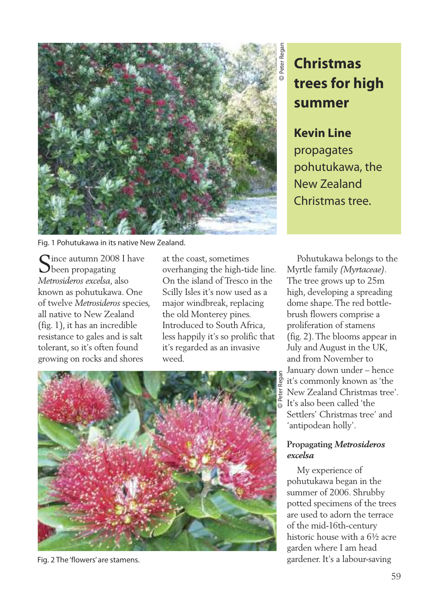

Fig. 1 Pohutukawa in its native New Zealand.

 $\bigcap$  ince autumn 2008 I have **D**been propagating *Metrosideros excelsa*, also known as pohutukawa. One of twelve *Metrosideros* species, all native to New Zealand (fig. 1), it has an incredible resistance to gales and is salt tolerant, so it's often found growing on rocks and shores

at the coast, sometimes overhanging the high-tide line. On the island of Tresco in the Scilly Isles it's now used as a major windbreak, replacing the old Monterey pines. Introduced to South Africa, less happily it's so prolific that it's regarded as an invasive weed.



Fig. 2 The 'flowers' are stamens.

## **Christmas trees for high summer**

**Kevin Line** propagates pohutukawa, the New Zealand Christmas tree.

Pohutukawa belongs to the Myrtle family *(Myrtaceae)*. The tree grows up to 25m high, developing a spreading dome shape.The red bottlebrush flowers comprise a proliferation of stamens (fig. 2).The blooms appear in July and August in the UK, and from November to January down under – hence it's commonly known as 'the New Zealand Christmas tree'. It's also been called 'the Settlers' Christmas tree' and 'antipodean holly'.

## **Propagating** *Metrosideros excelsa*

My experience of pohutukawa began in the summer of 2006. Shrubby potted specimens of the trees are used to adorn the terrace of the mid-16th-century historic house with a 6½ acre garden where I am head gardener. It's a labour-saving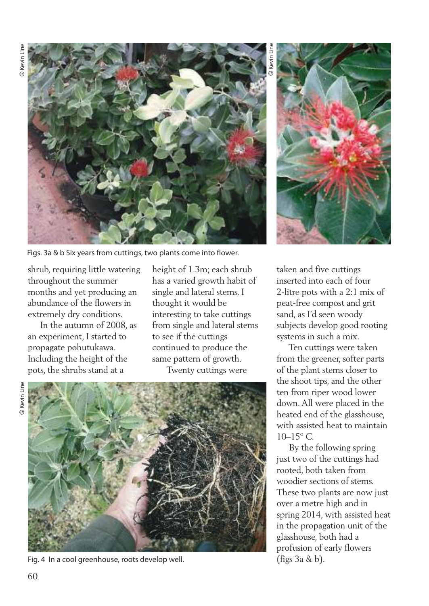

Figs. 3a & b Six years from cuttings, two plants come into flower.

shrub, requiring little watering throughout the summer months and yet producing an abundance of the flowers in extremely dry conditions.

In the autumn of 2008, as an experiment, I started to propagate pohutukawa. Including the height of the pots, the shrubs stand at a

height of 1.3m; each shrub has a varied growth habit of single and lateral stems. I thought it would be interesting to take cuttings from single and lateral stems to see if the cuttings continued to produce the same pattern of growth. Twenty cuttings were



Fig. 4 In a cool greenhouse, roots develop well.

©Kevin Line



taken and five cuttings inserted into each of four 2-litre pots with a 2:1 mix of peat-free compost and grit sand, as I'd seen woody subjects develop good rooting systems in such a mix.

Ten cuttings were taken from the greener, softer parts of the plant stems closer to the shoot tips, and the other ten from riper wood lower down.All were placed in the heated end of the glasshouse, with assisted heat to maintain  $10-15^{\circ}$  C.

By the following spring just two of the cuttings had rooted, both taken from woodier sections of stems. These two plants are now just over a metre high and in spring 2014, with assisted heat in the propagation unit of the glasshouse, both had a profusion of early flowers (figs 3a & b).